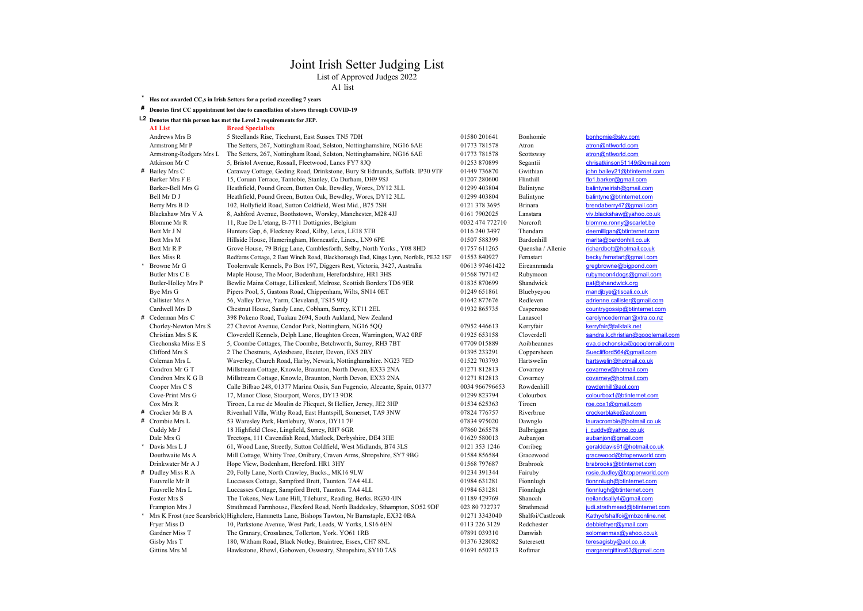## Joint Irish Setter Judging List

List of Approved Judges 2022

A1 list

### \* Has not awarded CC,s in Irish Setters for a period exceeding 7 years

### # Denotes first CC appointment lost due to cancellation of shows through COVID-19

## L2 Denotes that this person has met the Level 2 requirements for JEP.<br>Al List Breed Specialists **Breed Specialists**

| Andrews Mrs B           | 5 Steellands Rise, Ticehurst, East Sussex TN5 7DH                                                | 01580 201641    | Bonhomie          | bonhomie@sky.com                  |
|-------------------------|--------------------------------------------------------------------------------------------------|-----------------|-------------------|-----------------------------------|
| Armstrong Mr P          | The Setters, 267, Nottingham Road, Selston, Nottinghamshire, NG16 6AE                            | 01773 781578    | Atron             | atron@ntlworld.com                |
| Armstrong-Rodgers Mrs L | The Setters, 267, Nottingham Road, Selston, Nottinghamshire, NG16 6AE                            | 01773 781578    | Scottsway         | atron@ntlworld.com                |
| Atkinson Mr C           | 5, Bristol Avenue, Rossall, Fleetwood, Lancs FY7 8JQ                                             | 01253 870899    | Segantii          | chrisatkinson51149@gmail.com      |
| # Bailey Mrs C          | Caraway Cottage, Geding Road, Drinkstone, Bury St Edmunds, Suffolk. IP30 9TF                     | 01449 736870    | Gwithian          | john.bailey21@btinternet.com      |
| Barker Mrs F E          | 15, Coruan Terrace, Tantobie, Stanley, Co Durham, DH9 9SJ                                        | 01207 280600    | Flinthill         | flo1.barker@gmail.com             |
| Barker-Bell Mrs G       | Heathfield, Pound Green, Button Oak, Bewdley, Worcs, DY12 3LL                                    | 01299 403804    | Balintyne         | balintyneirish@gmail.com          |
| Bell Mr D J             | Heathfield, Pound Green, Button Oak, Bewdley, Worcs, DY12 3LL                                    | 01299 403804    | Balintyne         | balintyne@btinternet.com          |
| Berry Mrs B D           | 102, Hollyfield Road, Sutton Coldfield, West Mid., B75 7SH                                       | 0121 378 3695   | <b>Brinara</b>    | brendaberry47@gmail.com           |
| Blackshaw Mrs V A       | 8, Ashford Avenue, Boothstown, Worsley, Manchester, M28 4JJ                                      | 0161 7902025    | Lanstara          | viv.blackshaw@vahoo.co.uk         |
| Blomme Mr R             | 11, Rue De L'etang, B-7711 Dottignies, Belgium                                                   | 0032 474 772710 | Norcroft          | blomme.ronny@scarlet.be           |
| Bott Mr J N             | Hunters Gap, 6, Fleckney Road, Kilby, Leics, LE18 3TB                                            | 0116 240 3497   | Thendara          | deemilligan@btinternet.com        |
| <b>Bott Mrs M</b>       | Hillside House, Hameringham, Horncastle, Lincs., LN9 6PE                                         | 01507 588399    | Bardonhill        | marita@bardonhill.co.uk           |
| Bott Mr R P             | Grove House, 79 Brigg Lane, Camblesforth, Selby, North Yorks., Y08 8HD                           | 01757 611265    | Quensha / Allenie | richardbott@hotmail.co.uk         |
| <b>Box Miss R</b>       | Redferns Cottage, 2 East Winch Road, Blackborough End, Kings Lynn, Norfolk, PE32 1SF             | 01553 840927    | Fernstart         | becky.fernstart@gmail.com         |
| Browne Mr G             | Toolernvale Kennels, Po Box 197, Diggers Rest, Victoria, 3427, Australia                         | 00613 97461422  | Eireannmada       | gregbrowne@bigpond.com            |
| Butler Mrs C E          | Maple House, The Moor, Bodenham, Herefordshire, HR1 3HS                                          | 01568 797142    | Rubymoon          | rubymoon4dogs@gmail.com           |
| Butler-Holley Mrs P     | Bewlie Mains Cottage, Lilliesleaf, Melrose, Scottish Borders TD6 9ER                             | 01835 870699    | Shandwick         | pat@shandwick.org                 |
| Bye Mrs G               | Pipers Pool, 5, Gastons Road, Chippenham, Wilts, SN14 0ET                                        | 01249 651861    | Bluebyeyou        | mandjbye@tiscali.co.uk            |
| Callister Mrs A         | 56, Valley Drive, Yarm, Cleveland, TS15 9JQ                                                      | 01642 877676    | Redleven          | adrienne.callister@gmail.com      |
| Cardwell Mrs D          | Chestnut House, Sandy Lane, Cobham, Surrey, KT11 2EL                                             | 01932 865735    | Casperosso        | countrygossip@btinternet.com      |
| # Cederman Mrs C        | 398 Pokeno Road, Tuakau 2694, South Aukland, New Zealand                                         |                 | Lanascol          | carolyncederman@xtra.co.nz        |
| Chorley-Newton Mrs S    | 27 Cheviot Avenue, Condor Park, Nottingham, NG16 5QQ                                             | 07952 446613    | Kerryfair         | kerryfair@talktalk.net            |
| Christian Mrs S K       | Cloverdell Kennels, Delph Lane, Houghton Green, Warrington, WA2 0RF                              | 01925 653158    | Cloverdell        | sandra.k.christian@googlemail.com |
| Ciechonska Miss E S     | 5, Coombe Cottages, The Coombe, Betchworth, Surrey, RH3 7BT                                      | 07709 015889    | Aoibheannes       | eva.ciechonska@googlemail.com     |
| Clifford Mrs S          | 2 The Chestnuts, Aylesbeare, Exeter, Devon, EX5 2BY                                              | 01395 233291    | Coppersheen       | Sueclifford564@gmail.com          |
| Coleman Mrs L           | Waverley, Church Road, Harby, Newark, Nottinghamshire. NG23 7ED                                  | 01522 703793    | Hartswelin        | hartswelin@hotmail.co.uk          |
| Condron Mr G T          | Millstream Cottage, Knowle, Braunton, North Devon, EX33 2NA                                      | 01271 812813    | Covarney          | covarney@hotmail.com              |
| Condron Mrs K G B       | Millstream Cottage, Knowle, Braunton, North Devon, EX33 2NA                                      | 01271 812813    | Covarney          | covarney@hotmail.com              |
| Cooper Mrs C S          | Calle Bilbao 248, 01377 Marina Oasis, San Fugencio, Alecante, Spain, 01377                       | 0034 966796653  | Rowdenhill        | rowdenhill@aol.com                |
| Cove-Print Mrs G        | 17, Manor Close, Stourport, Worcs, DY13 9DR                                                      | 01299 823794    | Colourbox         | colourbox1@btinternet.com         |
| Cox Mrs R               | Tiroen, La rue de Moulin de Flicquet, St Hellier, Jersey, JE2 3HP                                | 01534 625363    | Tiroen            | roe.cox1@gmail.com                |
| # Crocker Mr B A        | Rivenhall Villa, Withy Road, East Huntspill, Somerset, TA9 3NW                                   | 07824 776757    | Riverbrue         | crockerblake@aol.com              |
| # Crombie Mrs L         | 53 Waresley Park, Hartlebury, Worcs, DY11 7F                                                     | 07834 975020    | Dawnglo           | lauracrombie@hotmail.co.uk        |
| Cuddy Mr J              | 18 Highfield Close, Lingfield, Surrey, RH7 6GR                                                   | 07860 265578    | Balbriggan        | j cuddy@yahoo.co.uk               |
| Dale Mrs G              | Treetops, 111 Cavendish Road, Matlock, Derbyshire, DE4 3HE                                       | 01629 580013    | Aubanjon          | aubanjon@gmail.com                |
| Davis Mrs L J           | 61, Wood Lane, Streetly, Sutton Coldfield, West Midlands, B74 3LS                                | 0121 353 1246   | Corribeg          | geralddavis61@hotmail.co.uk       |
| Douthwaite Ms A         | Mill Cottage, Whitty Tree, Onibury, Craven Arms, Shropshire, SY7 9BG                             | 01584856584     | Gracewood         | gracewood@btopenworld.com         |
| Drinkwater Mr A J       | Hope View, Bodenham, Hereford. HR1 3HY                                                           | 01568 797687    | <b>Brabrook</b>   | brabrooks@btinternet.com          |
| # Dudley Miss R A       | 20, Folly Lane, North Crawley, Bucks., MK16 9LW                                                  | 01234 391344    | Fairuby           | rosie.dudley@btopenworld.com      |
| Fauvrelle Mr B          | Luccasses Cottage, Sampford Brett, Taunton. TA4 4LL                                              | 01984 631281    | Fionnlugh         | fionnnlugh@btinternet.com         |
| Fauvrelle Mrs L         | Luccasses Cottage, Sampford Brett, Taunton. TA4 4LL                                              | 01984 631281    | Fionnlugh         | fionnlugh@btinternet.com          |
| Foster Mrs S            | The Tokens, New Lane Hill, Tilehurst, Reading, Berks. RG30 4JN                                   | 01189 429769    | Shanoah           | neilandsally4@gmail.com           |
| Frampton Mrs J          | Strathmead Farmhouse, Flexford Road, North Baddesley, Sthampton, SO52 9DF                        | 023 80 732737   | Strathmead        | judi.strathmead@btinternet.com    |
|                         | * Mrs K Frost (nee Scarsbrick) Highclere, Hammetts Lane, Bishops Tawton, Nr Barnstaple, EX32 0BA | 01271 3343040   | Shalfoi/Castleoak | Kathyofshalfoi@mbzonline.net      |
| Fryer Miss D            | 10, Parkstone Avenue, West Park, Leeds, W Yorks, LS16 6EN                                        | 0113 226 3129   | Redchester        | debbiefryer@ymail.com             |
| Gardner Miss T          | The Granary, Crosslanes, Tollerton, York. YO61 1RB                                               | 07891 039310    | Danwish           | solomanmax@yahoo.co.uk            |
| Gisby Mrs T             | 180, Witham Road, Black Notley, Braintree, Essex, CH7 8NL                                        | 01376 328082    | Suteresett        | teresagisby@aol.co.uk             |
| <b>Gittins Mrs M</b>    | Hawkstone, Rhewl, Gobowen, Oswestry, Shropshire, SY10 7AS                                        | 01691 650213    | Roftmar           | margaretgittins63@gmail.com       |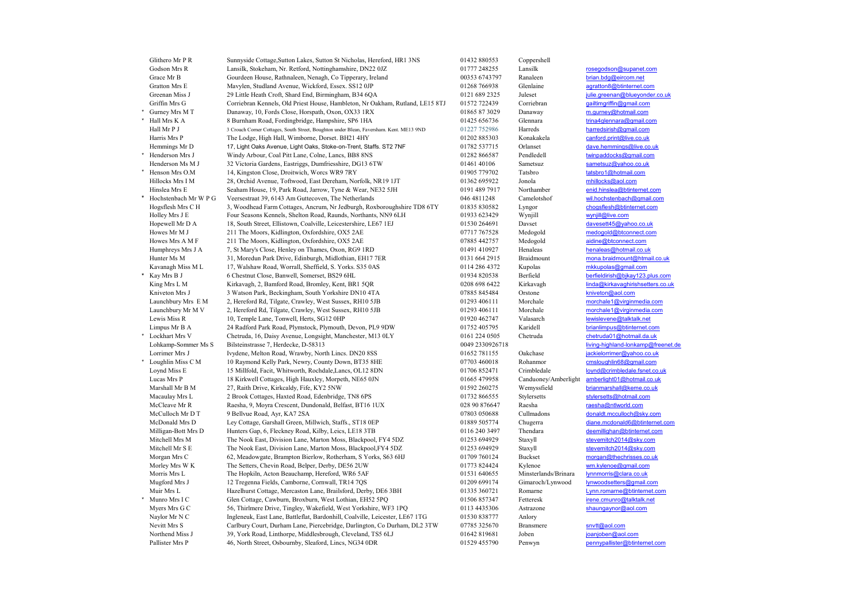| Glithero Mr P R             | Sunnyside Cottage, Sutton Lakes, Sutton St Nicholas, Hereford, HR1 3NS                                                      | 01432 880553                 | Coppershell          |                                                |
|-----------------------------|-----------------------------------------------------------------------------------------------------------------------------|------------------------------|----------------------|------------------------------------------------|
| Godson Mrs R                | Lansilk, Stokeham, Nr. Retford, Nottinghamshire, DN22 0JZ                                                                   | 01777 248255                 | Lansilk              | rosegodson@supanet.com                         |
| Grace Mr B                  | Gourdeen House, Rathnaleen, Nenagh, Co Tipperary, Ireland                                                                   | 00353 6743797                | Ranaleen             | brian.bdg@eircom.net                           |
| Gratton Mrs E               | Mavylen, Studland Avenue, Wickford, Essex. SS12 0JP                                                                         | 01268 766938                 | Glenlaine            | agratton8@btinternet.com                       |
| Greenan Miss J              | 29 Little Heath Croft, Shard End, Birmingham, B34 6QA                                                                       | 0121 689 2325                | Juleset              | julie.greenan@blueyonder.co.uk                 |
| Griffin Mrs G               | Corriebran Kennels, Old Priest House, Hambleton, Nr Oakham, Rutland, LE15 8TJ                                               | 01572 722439                 | Corriebran           | gailtimgriffin@gmail.com                       |
| Gurney Mrs M T              | Danaway, 10, Fords Close, Horspath, Oxon, OX33 1RX                                                                          | 01865 87 3029                | Danaway              | m.gurney@hotmail.com                           |
| * Hall Mrs K A              | 8 Burnham Road, Fordingbridge, Hampshire, SP6 1HA                                                                           | 01425 656736                 | Glennara             | trina4glennara@gmail.com                       |
| Hall Mr P J                 | 3 Crouch Corner Cottages, South Street, Boughton under Blean, Faversham. Kent. ME13 9ND                                     | 01227 752986                 | Harreds              | harredsirish@gmail.com                         |
| Harris Mrs P                | The Lodge, High Hall, Wimborne, Dorset. BH21 4HY                                                                            | 01202 885303                 | Konakakela           | canford.print@live.co.uk                       |
| Hemmings Mr D               | 17, Light Oaks Avenue, Light Oaks, Stoke-on-Trent, Staffs. ST2 7NF                                                          | 01782 537715                 | Orlanset             | dave.hemmings@live.co.uk                       |
| Henderson Mrs J             | Windy Arbour, Coal Pitt Lane, Colne, Lancs, BB8 8NS                                                                         | 01282 866587                 | Pendledell           | twinpaddocks@gmail.com                         |
| Henderson Ms M J            | 32 Victoria Gardens, Eastriggs, Dumfriesshire, DG13 6TW                                                                     | 01461 40106                  | Sametsuz             | sametsuz@yahoo.co.uk                           |
| Henson Mrs O.M              | 14, Kingston Close, Droitwich, Worcs WR9 7RY                                                                                | 01905 779702                 | Tatsbro              | tatsbro1@hotmail.com                           |
| Hillocks Mrs I M            | 28, Orchid Avenue, Toftwood, East Dereham, Norfolk, NR19 1JT                                                                | 01362 695922                 | Jonola               | mhillocks@aol.com                              |
| Hinslea Mrs E               | Seaham House, 19, Park Road, Jarrow, Tyne & Wear, NE32 5JH                                                                  | 0191 489 7917                | Northamber           | enid.hinslea@btinternet.com                    |
| Hochstenbach Mr W P G       | Veersestraat 39, 6143 Am Guttecoven, The Netherlands                                                                        | 046 4811248                  | Camelotshof          | wil.hochstenbach@gmail.com                     |
| Hogsflesh Mrs C H           | 3, Woodhead Farm Cottages, Ancrum, Nr Jedburgh, Roxboroughshire TD8 6TY                                                     | 01835 830582                 | Lyngor               | chogsflesh@btinternet.com                      |
| Holley Mrs J E              | Four Seasons Kennels, Shelton Road, Raunds, Northants, NN9 6LH                                                              | 01933 623429                 | Wynjill              | wynjill@live.com                               |
| Hopewell Mr D A             | 18, South Street, Ellistown, Coalville, Leicestershire, LE67 1EJ                                                            | 01530 264691                 | Davset               | davesett45@yahoo.co.uk                         |
| Howes Mr M J                | 211 The Moors, Kidlington, Oxfordshire, OX5 2AE                                                                             | 07717 767528                 | Medogold             | medogold@btconnect.com                         |
| Howes Mrs A M F             | 211 The Moors, Kidlington, Oxfordshire, OX5 2AE                                                                             | 07885 442757                 | Medogold             | aidine@btconnect.com                           |
| Humphreys Mrs J A           | 7, St Mary's Close, Henley on Thames, Oxon, RG9 1RD                                                                         | 01491 410927                 | Henaleas             | henaleas@hotmail.co.uk                         |
| Hunter Ms M                 | 31, Moredun Park Drive, Edinburgh, Midlothian, EH17 7ER                                                                     | 0131 664 2915                | Braidmount           | mona.braidmount@htmail.co.uk                   |
| Kavanagh Miss ML            | 17, Walshaw Road, Worrall, Sheffield, S. Yorks. S35 0AS                                                                     | 0114 286 4372                | Kupolas              | mkkupolas@gmail.com                            |
| Kay Mrs B J                 | 6 Chestnut Close, Banwell, Somerset, BS29 6HL                                                                               | 01934 820538                 | Berfield             | berfieldirish@bikav123.plus.com                |
| King Mrs L M                | Kirkavagh, 2, Bamford Road, Bromley, Kent, BR1 5QR                                                                          | 0208 698 6422                | Kirkavagh            | linda@kirkavaghirishsetters.co.uk              |
| Kniveton Mrs J              | 3 Watson Park, Beckingham, South Yorkshire DN10 4TA                                                                         | 07885845484                  | Orstone              | kniveton@aol.com                               |
| Launchbury Mrs E M          | 2, Hereford Rd, Tilgate, Crawley, West Sussex, RH10 5JB                                                                     | 01293 406111                 | Morchale             | morchale1@virginmedia.com                      |
| Launchbury Mr M V           | 2, Hereford Rd, Tilgate, Crawley, West Sussex, RH10 5JB                                                                     | 01293 406111                 | Morchale             | morchale1@virginmedia.com                      |
| Lewis Miss R                | 10, Temple Lane, Tonwell, Herts, SG12 0HP                                                                                   | 01920 462747                 | Valasarch            | lewislevene@talktalk.net                       |
| Limpus Mr B A               | 24 Radford Park Road, Plymstock, Plymouth, Devon, PL9 9DW                                                                   | 01752 405795                 | Karidell             | brianlimpus@btinternet.com                     |
| Lockhart Mrs V              | Chetruda, 16, Daisy Avenue, Longsight, Manchester, M13 0LY                                                                  | 0161 224 0505                | Chetruda             | chetruda01@hotmail.da.uk                       |
| Lohkamp-Sommer Ms S         | Bilsteinstrasse 7, Herdecke, D-58313                                                                                        | 0049 2330926718              |                      | living-highland-lonkamp@freenet.de             |
| Lorrimer Mrs J              | Ivydene, Melton Road, Wrawby, North Lincs. DN20 8SS                                                                         | 01652 781155                 | Oakchase             | jackielorrimer@yahoo.co.uk                     |
| * Loughlin Miss C M         | 10 Raymond Kelly Park, Newry, County Down, BT35 8HE                                                                         | 07703 460018                 | Rohanmor             | cmsloughlin68@gmail.com                        |
| Loynd Miss E                | 15 Millfold, Facit, Whitworth, Rochdale, Lancs, OL12 8DN                                                                    | 01706 852471                 | Crimbledale          | lovnd@crimbledale.fsnet.co.uk                  |
| Lucas Mrs P                 | 18 Kirkwell Cottages, High Hauxley, Morpeth, NE65 0JN                                                                       | 01665 479958                 | Canduoney/Amberlight | amberlight01@hotmail.co.uk                     |
| Marshall Mr B M             | 27, Raith Drive, Kirkcaldy, Fife, KY2 5NW                                                                                   | 01592 260275                 | Wemyssfield          | brianmarshall@keme.co.uk                       |
| Macaulay Mrs L              | 2 Brook Cottages, Haxted Road, Edenbridge, TN8 6PS                                                                          | 01732 866555                 | Stylersetts          | stylersetts@hotmail.com                        |
| McCleave Mr R               | Raesha, 9, Moyra Crescent, Dundonald, Belfast, BT16 1UX                                                                     | 028 90 876647                | Raesha               | raesha@ntlworld.com                            |
| McCulloch Mr D T            | 9 Bellvue Road, Ayr, KA7 2SA                                                                                                | 07803 050688                 | Cullmadons           | donaldt.mcculloch@sky.com                      |
| McDonald Mrs D              | Ley Cottage, Garshall Green, Millwich, Staffs., ST18 0EP                                                                    | 01889 505774                 | Chugerra             | diane.mcdonald6@btinternet.com                 |
| Milligan-Bott Mrs D         | Hunters Gap, 6, Fleckney Road, Kilby, Leics, LE18 3TB                                                                       | 0116 240 3497                | Thendara             | deemillighan@btinternet.com                    |
| Mitchell Mrs M              | The Nook East, Division Lane, Marton Moss, Blackpool, FY4 5DZ                                                               | 01253 694929                 | Staxyll              | stevemitch2014@sky.com                         |
| Mitchell Mr S E             | The Nook East, Division Lane, Marton Moss, Blackpool, FY4 5DZ                                                               | 01253 694929                 | Staxyll              | stevemitch2014@sky.com                         |
| Morgan Mrs C                | 62, Meadowgate, Brampton Bierlow, Rotherham, S Yorks, S63 6HJ                                                               | 01709 760124                 | Buckset              | morgan@thechrisses.co.uk                       |
| Morley Mrs W K              | The Setters, Chevin Road, Belper, Derby, DE56 2UW                                                                           | 01773 824424                 | Kylenoe              | wm.kvlenoe@gmail.com<br>lynnmorris@clara.co.uk |
| Morris Mrs L                | The Hopkiln, Acton Beauchamp, Hereford, WR6 5AF                                                                             | 01531 640655                 | Minsterlands/Brinara | lynwoodsetters@gmail.com                       |
| Mugford Mrs J               | 12 Tregenna Fields, Camborne, Cornwall, TR14 7QS                                                                            | 01209 699174                 | Gimaroch/Lynwood     | Lynn.romarne@btinternet.com                    |
| Muir Mrs L<br>Munro Mrs I C | Hazelhurst Cottage, Mercaston Lane, Brailsford, Derby, DE6 3BH                                                              | 01335 360721<br>01506 857347 | Romarne<br>Fetteresk | irene.cmunro@talktalk.net                      |
| Myers Mrs G C               | Glen Cottage, Cawburn, Broxburn, West Lothian, EH52 5PQ<br>56, Thirlmere Drive, Tingley, Wakefield, West Yorkshire, WF3 1PQ | 0113 4435306                 | Astrazone            | shaungaynor@aol.com                            |
| Naylor Mr N C               | Ingleneuk, East Lane, Battleflat, Bardonhill, Coalville, Leicester, LE67 1TG                                                | 01530 838777                 | Anlory               |                                                |
| Nevitt Mrs S                | Carlbury Court, Durham Lane, Piercebridge, Darlington, Co Durham, DL2 3TW                                                   | 07785 325670                 | <b>Bransmere</b>     | snvtt@aol.com                                  |
| Northend Miss J             | 39, York Road, Linthorpe, Middlesbrough, Cleveland, TS5 6LJ                                                                 | 01642 819681                 | Joben                | ioanioben@aol.com                              |
| Pallister Mrs P             | 46, North Street, Osbournby, Sleaford, Lincs, NG34 0DR                                                                      | 01529 455790                 | Penwyn               | pennypallister@btinternet.com                  |
|                             |                                                                                                                             |                              |                      |                                                |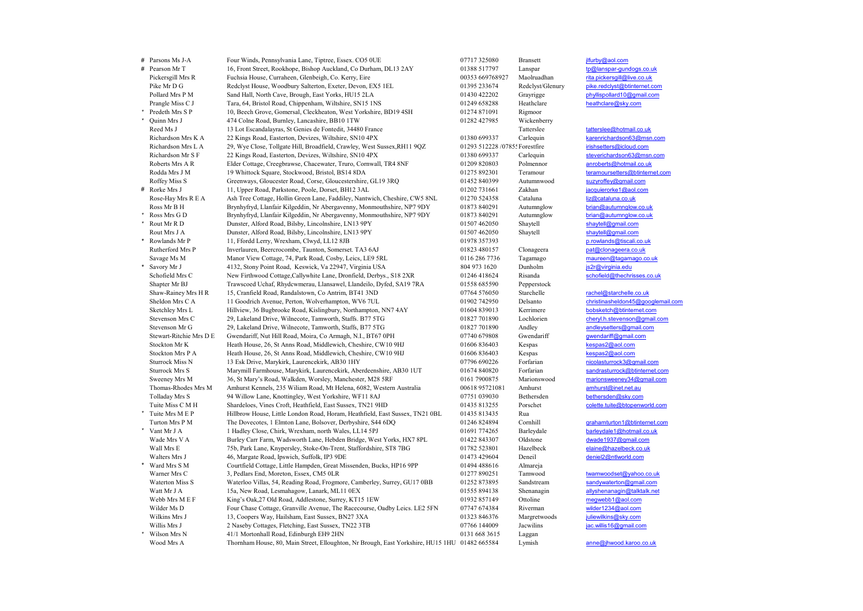# Parsons Ms J-A Four Winds, Pennsylvania Lane, Tiptree, Essex. CO5 0UE 07717 325080 Bransett jlfurby@aol.com # Pearson Mr T 16, Front Street, Rookhope, Bishop Auckland, Co Durham, DL13 2AY 01388 517797 Lanspar has the model of the mask of the Pickersed Mrs R Fuchsia House. Curraheen. Glenbeigh. Co. Kerry. Eire 00133 669768927 Mao Pickersgill Mrs R Fuchsia House, Curraheen, Glenbeigh, Co. Kerry, Eire 00353 669768927 Maolruadhan rita.pickersgill@live.co.uk<br>Pike Mr D G Redclyst House. Woodbury Salterton. Exeter. Devon. EX5 1 EL 01395 233674 Redclyst/G Pike Mr D G Redclyst House, Woodbury Salterton, Exeter, Devon, EX5 1EL 01395 233674<br>Pollard Mrs P M Sand Hall. North Cave. Brough. East Yorks. HU15 2LA 01430 422202 Pollard Mrs P M Sand Hall, North Cave, Brough, East Yorks, HU15 2LA 01430 422202 Grayrigge phyllispollard10@gmail.com<br>Pranele Miss C J Tara. 64. Bristol Road. Chippenham. Wiltshire. SN15 1NS 01249 658288 Heathclare heathcl Prangle Miss C J Tara, 64, Bristol Road, Chippenham, Wiltshire, SN15 1NS 01249 658288<br>
\* Predeth Mrs S P 10. Beech Grove. Gomersal. Cleckheaton. West Yorkshire. BD19 4SH 01274 871091 \* Predeth Mrs S P 10, Beech Grove, Gomersal, Cleckheaton, West Yorkshire, BD19 4SH 01274 871091 Rigmoor<br>\* Ouinn Mrs J 474 Colne Road. Burnlev. Lancashire. BB10 1TW 01282 427985 Wickenberry 474 Colne Road, Burnley, Lancashire, BB10 1TW Reed Ms J 13 Lot Escandalayras, St Genies de Fontedit, 34480 France Tatterslee Tatterslee tatterslee tatterslee<br>Richardson Mrs K A 22 Kinos Road Easterton Devizes Wiltshire SN10 4PX 01380 699337 Carleguin karenrichardson63 Richardson Mrs K A 22 Kings Road, Easterton, Devizes, Wiltshire, SN10 4PX 01380 699337 Carlequin karenrichardson63@msn.com<br>Richardson Mrs L A 29. Wye Close. Tolleate Hill. Broadfield. Crawley. West Sussex.RH11 9OZ 01293 51 Richardson Mrs L A 29, Wye Close, Tollgate Hill, Broadfield, Crawley, West Sussex,RH11 9QZ 01293 512228 /0785: Forestfire initial structure irishsetters@icloud.com<br>Richardson Mr S F 22 Kings Road, Easterton, Devizes, Wilts 22 Kings Road, Easterton, Devizes, Wiltshire, SN10 4PX 01380 699337 Carlequin steverichardson63@msn.<br>
Elder Cottage, Creegbrawse, Chacewater, Truro, Cornwall, TR4 8NF 01209 820803 Polmennor anroberts@hotmail.co.uk Roberts Mrs A R Elder Cottage, Creegbrawse, Chacewater, Truro, Cornwall, TR4 8NF 01209 820803 Polmennor Rodda Mrs J M 19 Whittock Square, Stockwood, Bristol, BS14 8DA 01275 892301 Teramour teramoursetters@btinternet.com Roffey Miss S Greenways, Gloucester Road, Corse, Gloucestershire, GL19 3RQ 01452 840399 Autumnwood suzyroffey@gmail.com # Rorke Mrs J 11, Upper Road, Parkstone, Poole, Dorset, BH12 3AL 01202 731661 Zakhan jacquierorke1@aol.com<br>Rose-Hav Mrs R F. A Ash Tree Cottage. Hollin Green Lane. Faddilev. Nantwich. Cheshire, CW5 8NL 01270 524358 Catalun Rose-Hay Mrs R E A Ash Tree Cottage, Hollin Green Lane, Faddiley, Nantwich, Cheshire, CW5 8NL 01270 524358 Cataluna and the control of the Magnetium of the Magnetium of the Magnetium of the Press of the Broad and the Press Ross Mr B H Brynhyfryd, Llanfair Kilgeddin, Nr Abergavenny, Monmouthshire, NP7 9DY 01873 840291 Autumnglow brian@autumnglow.co.uk<br>Ross Mrs G D Brynhyfryd. Llanfair Kilgeddin. Nr Abergavenny. Monmouthshire. NP7 9DY 01873 84 % Brynhyfryd, Llanfair Kilgeddin, Nr Abergavenny, Monmouthshire, NP7 9DY 01873 840291 Autumnglow brian@autumnglow.<br>201507 462050 Dunster. Alford Road. Bilsby. Lincolnshire, LN13 9PY 01577 462050 Shaytell Shaytell Shaytell@ \* Rout Mr R D Dunster, Alford Road, Bilsby, Lincolnshire, LN13 9PY 01507 462050 Shaytell shaytell shaytell@gmail.com<br>Rout Mrs J A Dunster. Alford Road, Bilsby, Lincolnshire, LN13 9PY 01507 462050 Shavtell shavtell@gmail.co Rout Mrs J A Dunster, Alford Road, Bilsby, Lincolnshire, LN13 9PY 01507 462050 Shaytell shaytell shaytell@gmail.com<br>Rowlands Mr P 11, Ffordd Lerry, Wrexham, Clwyd, LL12 8JB 01978 357393 11, Ffordd Lerry, Wrexham, Clwyd, LL12 8JB 01978 357393 p.r. Rutherford Mrs P Inverlauren, Beercrocombe, Taunton, Somerset. TA3 6AJ 01823 480157 Clonageera pat@clonageera.co.uk Savage Ms M Manor View Cottage, 74, Park Road, Cosby, Leics, LE9 5RL 0116 286 7736 Tagamago maureen@tagamago.co.uk<br>Savory Mr J 4132. Stony Point Road. Keswick. Va 22947. Virginia USA 804 973 1620 Dunholm is2r@virginia edu \* Savory Mr J 4132, Stony Point Road, Keswick, Va 22947, Virginia USA 804 973 1620 Dunholm js2r@virginia.edu<br>
Schofield Mrs C New Firthwood Cottage Callywhite Lane. Dronfield. Derbys... S18 2XR 01246 418624 Risanda schofie New Firthwood Cottage,Callywhite Lane, Dronfield, Derbys., S18 2XR Shapter Mr BJ Trawscoed Uchaf, Rhydcwmerau, Llansawel, Llandeilo, Dyfed, SA19 7RA 01558 685590 Pepperstock Shaw-Rainey Mrs H R 15, Cranfield Road, Randalstown, Co Antrim, BT41 3ND 07764 576050 Starchelle rachel@starchelle.co.uk<br>Sheldon Mrs C A 11 Goodrich Avenue. Perton. Wolverhampton. WV6 7UL 01902 742950 Delsanto christinashe Sheldon Mrs C A 11 Goodrich Avenue, Perton, Wolverhampton, WV6 7UL 01902 742950 Delsanto christinasheldon45@googlemail.com<br>Sketchlev Mrs L Hillview. 36 Buobrooke Road. Kislinobury. Northampton. NN7 4AY 01604 839013 Kerrime Sketch (Dubsketch) Mrs Liberton, Mrs Liberton, Northampton, NN7 4AY 01604 839013 Kerrimere bobsketch (Optinternet.com 29, Lakeland Drive, Wilnecote, Tamworth, Staffs. B77 5TG 01827 701890 Lochlorien cheryl.h.stevenson@qmai Stevenson Mrs C 29, Lakeland Drive, Wilnecote, Tamworth, Staffs. B77 5TG 01827 701890 Lochlorien Stevenson Mr G 29, Lakeland Drive, Wilnecote, Tamworth, Staffs, B77 5TG 01827 701890 Andley and the model of the model of the model of the Stevens of the Mrs D.E. Gwendariff Normal.com (Stewart-Ritchie Mrs D.E. Gwendariff Stewart-Ritchie Mrs D E Gwendariff, Nut Hill Road, Moira, Co Armagh, N.I., BT67 0PH 07740 679808 Gwendariff gwendariff gwendariff gwendariff gwendariff gwendariff gwendariff gwendariff gwendariff gwendariff a steath House. Stockton Mr K Heath House, 26, St Anns Road, Middlewich, Cheshire, CW10 9HJ 01606 836403 Kespas kespas2@aol.com<br>Stockholmer Post Anns Road, Middlewich, Cheshire, CW10 9HJ 01606 836403 Kespas kespas2@aol.com Stockton Mrs P A Heath House, 26, St Anns Road, Middlewich, Cheshire, CW10 9HJ 01606 836403 Kespas kespas2@aol.com<br>Sturrock Miss N 13 Esk Drive Marykirk Laurencekirk AB30 1HY 07796 690226 Forfarian nicolasturrock3@omail.co Sturrock Miss N 13 Esk Drive, Marykirk, Laurencekirk, AB30 1HY 67796 690226 Forfarian nicolasturrock3@gmail.com<br>Sturrock Mrs S Marymill Farmbouse Marykirk Laurencekirk Aberdeenshire AB30 1UT 01674 840820 Forfarian sandrast Sturrock Mrs S Marymill Farmhouse, Marykirk, Laurencekirk, Aberdeenshire, AB30 1UT 01674 840820 Forfarian sandrasturrock@btin<br>Sweeney Mrs M 36. St Mary's Road. Walkden. Worsley. Manchester. M28 5RF 0161 7900875 Marionswood S6, St Mary's Road, Walkden, Worsley, Manchester, M28 5RF 0161 7900875 Marionswood marionsweeney34@gmail.com 36<br>Amhurst Kennels, 235 Wiliam Road, Mt Helena, 6082, Western Australia 00618 95721081 Amhurst Kennels, 235 Wilia Thomas-Rhodes Mrs M Amhurst Kennels, 235 Wiliam Road, Mt Helena, 6082, Western Australia 00618 95721081 Amhurst amhurst amhurst amhurst amhurst amhurst amhurst amhurst amhurst amhurst amhurst amhurst amhurst and the media Tolladay Mrs S 94 Willow Lane, Knottingley, West Yorkshire, WF11 8AJ 07751 039030 Bethersden bethersden@sky.com<br>
Tuite Miss C M H Shardeloes. Vines Croft. Heathfield. East Sussex. TN21 9HD 01435 813255 Porschet comette tui Tuite Miss C M H Shardeloes, Vines Croft, Heathfield, East Sussex, TN21 9HD 01435 813255 Porschet \* Tuite Mrs M E P Hillbrow House, Little London Road, Horam, Heathfield, East Sussex, TN21 0BL 01435 813435 Rua Turton Mrs P M The Dovecotes, 1 Elmton Lane, Bolsover, Derbyshire, S44 6DQ 01246 824894 Cornhill grahamturton1@btinternet.com<br>Noting the distribution of the United States of the United States of the United States of the Un 1 Hadley Close, Chirk, Wrexham, north Wales, LL14 5PJ 01691 774265 Barleydale barleydale barleydale1@hotmail.co<br>
Burley Carr Farm Wadsworth Lane Hebden Bridge West Yorks HX7 8PL 01422 843307 Oldstone dwade1937@gmail.com Wade Mrs V A Burley Carr Farm, Wadsworth Lane, Hebden Bridge, West Yorks, HX7 8PL 01422 843307 Oldstone dwade1937@gmail.com<br>Wall Mrs E 75b. Park Lane. Knypersley. Stoke-On-Trent. Staffordshire. ST8 7BG 01782 523801 Hazelbe Wall Mrs E 75b, Park Lane, Knypersley, Stoke-On-Trent, Staffordshire, ST8 7BG 01782 523801 Hazelbeck Walters Mrs J 46, Margate Road, Ipswich, Suffolk, IP3 9DE 01473 429604 Deneil deniel2@ntlworld.com<br>
March Mrs S M Courtfield Cottage. Little Hamnden. Great Missenden. Bucks. HP16 9PP 01494 488616 Almareia \* Ward Mrs S M Courtfield Cottage, Little Hampden, Great Missenden, Bucks, HP16 9PP 01494 488616 Almareja Warner Mrs C 3, Pedlars End, Moreton, Essex, CM5 0LR 01277 890251 Tamwood twamwoodset@yahoo.co.uk<br>Waterton Miss S Waterloo Villas. 54. Reading Road. Frogmore. Camberley. Surrey. GU17 0BB 01252 873895 Sandstream sandwaterto Waterton Miss S Waterloo Villas, 54, Reading Road, Frogmore, Camberley, Surrey, GU17 0BB 01252 873895 Sandstream sandywaterton@gmail.com<br>Watt Mr J A 15a. New Road, Lesmahagow, Lanark, ML11 0EX 01555 894138 Shenanagin allys 15a, New Road, Lesmahagow, Lanark, ML11 0EX 01555 894138 Shenanagin allyshenanagin allyshenanagin allyshenanagin allyshenanagin allyshenanagin allyshenanagin allyshenanagin allyshenanagin allyshenanagin allyshenanagin ally Webb Mrs M E F King's Oak,27 Old Road, Addlestone, Surrey, KT15 1EW 01932 857149 Ottoline megwebb1@aol.com<br>Wilder Ms D Four Chase Cottage. Granville Avenue. The Racecourse. Oadby Leics. LE2 5FN 07747 674384 Riverman wilder Wilder Ms D Four Chase Cottage, Granville Avenue, The Racecourse, Oadby Leics. LE2 5FN 07747 674384 Riverman wilder1234@aol.com<br>Wilkins Mrs J 13. Coopers Wav, Hailsham, East Sussex, BN27 3XA 01323 846376 Margretwoods julie Wilkins Mrs J 13, Coopers Way, Hailsham, East Sussex, BN27 3XA 01323 846376 Margretwoods in the match of the Milliewilkins@sky.com<br>Willie Mrs J 2 Naseby Cottages Eletching East Sussex, TN22 3TR 07766 144009 Jacwilins and w 2 Naseby Cottages, Fletching, East Sussex, TN22 3TB 07766 144009 Jacwilins \* Wilson Mrs N 41/1 Mortonhall Road, Edinburgh EH9 2HN 0131 668 3615 Laggan Wood Mrs A Thornham House, 80, Main Street, Elloughton, Nr Brough, East Yorkshire, HU15 1HU 01482 665584 Lymish anne@jhwood.karoo.co.uk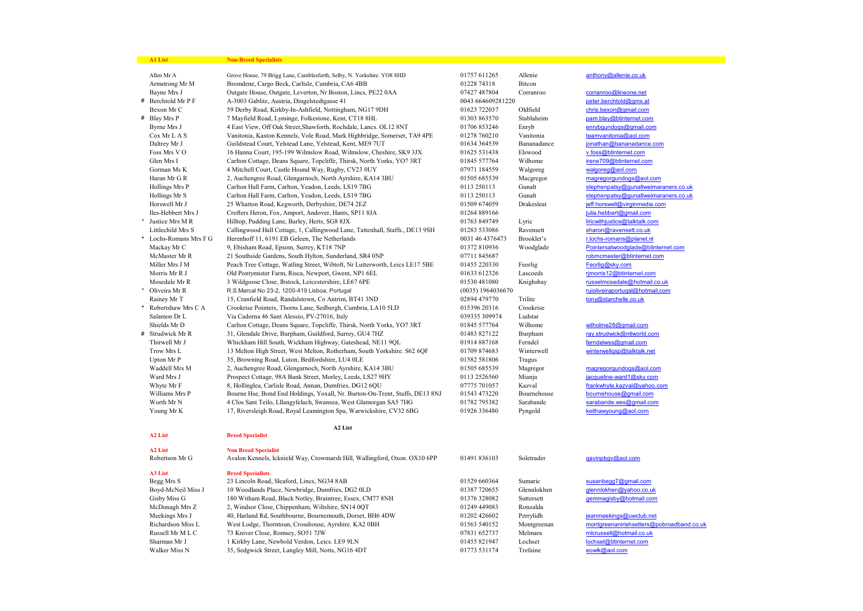| <b>A1 List</b>       | <b>Non-Breed Specialists</b>                                                 |                     |             |                                           |
|----------------------|------------------------------------------------------------------------------|---------------------|-------------|-------------------------------------------|
| Allen Mr A           | Grove House, 79 Brigg Lane, Camblesforth, Selby, N. Yorkshire. YO8 8HD       | 01757 611265        | Allenie     | anthony@allenie.co.uk                     |
| Armstrong Mr M       | Bromdene, Cargo Beck, Carlisle, Cumbria, CA6 4BB                             | 01228 74318         | Bitcon      |                                           |
| Bayne Mrs J          | Outgate House, Outgate, Leverton, Nr Boston, Lincs, PE22 0AA                 | 07427 487804        | Corranroo   | corranroo@lineone.net                     |
| # Berchtold Mr P F   | A-3003 Gablitz, Austria, Dingelstedtgasse 41                                 | 0043 664609281220   |             | peter.berchtold@gmx.at                    |
| Bexon Mr C           | 59 Derby Road, Kirkby-In-Ashfield, Nottingham, NG17 9DH                      | 01623 722037        | Oldfield    | chris.bexon@gmail.com                     |
| # Blay Mrs P         | 7 Mayfield Road, Lyminge, Folkestone, Kent, CT18 8HL                         | 01303 863570        | Stablaheim  | pam.blav@btinternet.com                   |
| Byrne Mrs J          | 4 East View, Off Oak Street, Shawforth, Rochdale, Lancs. OL12 8NT            | 01706 853246        | Enryb       | enrybgundogs@gmail.com                    |
| Cox Mr L A S         | Vanitonia, Kaston Kennels, Vole Road, Mark Highbridge, Somerset, TA9 4PE     | 01278 760210        | Vanitonia   | teamvanitonia@aol.com                     |
| Daltrey Mr J         | Guildstead Court, Yelstead Lane, Yelstead, Kent, ME9 7UT                     | 01634 364539        | Bananadance | jonathan@bananadance.com                  |
| Foss Mrs VO          | 16 Hanna Court, 195-199 Wilmslow Road, Wilmslow, Cheshire, SK9 3JX           | 01625 531438        | Elswood     | v.foss@btinternet.com                     |
| Glen Mrs I           | Carlton Cottage, Deans Square, Topcliffe, Thirsk, North Yorks, YO7 3RT       | 01845 577764        | Wilhome     | irene709@btinternet.com                   |
| Gorman Ms K          | 4 Mitchell Court, Castle Hound Way, Rugby, CV23 0UY                          | 07971 184559        | Walgoreg    | walgoreg@aol.com                          |
| Haran Mr G R         | 2, Auchengree Road, Glengarnoch, North Ayrshire, KA14 3BU                    | 01505 685539        | Macgregor   | magregorgundogs@aol.com                   |
| Hollings Mrs P       | Carlton Hall Farm, Carlton, Yeadon, Leeds, LS19 7BG                          | 0113 250113         | Gunalt      | stephenpatsy@qunaltweimaraners.co.uk      |
| Hollings Mr S        | Carlton Hall Farm, Carlton, Yeadon, Leeds, LS19 7BG                          | 0113 250113         | Gunalt      | stephenpatsy@qunaltweimaraners.co.uk      |
| Horswell Mr J        | 25 Whatton Road, Kegworth, Derbyshire, DE74 2EZ                              | 01509 674059        | Drakesleat  | jeff.horswell@virginmedia.com             |
| Iles-Hebbert Mrs J   | Crofters Heron, Fox, Amport, Andover, Hants, SP11 8JA                        | 01264 889166        |             | julia.hebbert@gmail.com                   |
| Justice Mrs MR       | Hilltop, Pudding Lane, Barley, Herts, SG8 8JX                                | 01763 849749        | Lyric       | liricwithiustice@talktalk.com             |
| Littlechild Mrs S    | Callingwood Hall Cottage, 1, Callingwood Lane, Tattenhall, Staffs., DE13 9SH | 01283 533086        | Ravensett   | sharon@ravensett.co.uk                    |
| Lochs-Romans Mrs F G | Herenhoff 11, 6191 EB Geleen, The Netherlands                                | 0031 46 4376473     | Brooklet's  | r.lochs-romans@planet.nl                  |
| Mackay Mr C          | 9, Ebisham Road, Epsom, Surrey, KT18 7NP                                     | 01372 810936        | Woodglade   | Pointersatwoodglade@btinternet.com        |
| McMaster Mr R        | 21 Southside Gardens, South Hylton, Sunderland, SR4 0NP                      | 07711 845687        |             | robmcmaster@btinternet.com                |
| Miller Mrs J M       | Peach Tree Cottage, Watling Street, Wibtoft, Nr Lutterworth, Leics LE17 5BE  | 01455 220330        | Feorlig     | Feorlig@sky.com                           |
| Morris Mr R J        | Old Pontymister Farm, Risca, Newport, Gwent, NP1 6EL                         | 01633 612326        | Lascoeds    | rjmorris12@btinternet.com                 |
| Mosedale Mr R        | 3 Wildgoose Close, Ibstock, Leicestershire, LE67 6PE                         | 01530 481080        | Knighsbay   | russelmosedale@hotmail.co.uk              |
| Oliveira Mr R        | R.S.Marcal No 23-2, 1200-419 Lisboa, Portugal                                | $(0035)$ 1964036670 |             | ruioliveiraportugal@hotmail.com           |
| Rainey Mr T          | 15, Cranfield Road, Randalstown, Co Antrim, BT41 3ND                         | 02894 479770        | Trilite     | tony@starchelle.co.uk                     |
| Robertshaw Mrs C A   | Crookrise Pointers, Thorns Lane, Sedbergh, Cumbria, LA10 5LD                 | 015396 20316        | Crookrise   |                                           |
| Salamon Dr L         | Via Cadorna 46 Sant Alessio, PV-27016, Italy                                 | 039335 309974       | Ludstar     |                                           |
| Shields Mr D         | Carlton Cottage, Deans Square, Topcliffe, Thirsk, North Yorks, YO7 3RT       | 01845 577764        | Wilhome     | wilholme28@gmail.com                      |
| # Strudwick Mr R     | 31, Glendale Drive, Burpham, Guildford, Surrey, GU4 7HZ                      | 01483 827122        | Burpham     | ray.strudwick@ntlworld.com                |
| Thirwell Mr J        | Whickham Hill South, Wickham Highway, Gateshead, NE11 9QL                    | 01914 887168        | Ferndel     | ferndelwss@gmail.com                      |
| Trow Mrs L           | 13 Melton High Street, West Melton, Rotherham, South Yorkshire. S62 6QF      | 01709 874683        | Winterwell  | winterwellgsp@talktalk.net                |
| Upton Mr P           | 35, Browning Road, Luton, Bedfordshire, LU4 0LE                              | 01582 581806        | Tragus      |                                           |
| Waddell Mrs M        | 2, Auchengree Road, Glengarnoch, North Ayrshire, KA14 3BU                    | 01505 685539        | Magregor    | magregorgundogs@aol.com                   |
| Ward Mrs J           | Prospect Cottage, 98A Bank Street, Morley, Leeds, LS27 9HY                   | 0113 2526560        | Mianja      | jacqueline-ward1@sky.com                  |
| Whyte Mr F           | 8, Hollinglea, Carlisle Road, Annan, Dumfries, DG12 6QU                      | 07775 701057        | Kazval      | frankwhyte.kazval@vahoo.com               |
| Williams Mrs P       | Bourne Hse, Bond End Holdings, Yoxall, Nr. Burton-On-Trent, Staffs, DE13 8NJ | 01543 473220        | Bournehouse | bournehouse@gmail.com                     |
| Worth Mr N           | 4 Clos Sant Teilo, Lllangyfelach, Swansea, West Glamorgan SA5 7HG            | 01782 795382        | Sarabande   | sarabande.wss@gmail.com                   |
| Young Mr K           | 17, Riversleigh Road, Royal Leamington Spa, Warwickshire, CV32 6BG           | 01926 336480        | Pyngold     | keithawyoung@aol.com                      |
|                      |                                                                              |                     |             |                                           |
|                      | A2 List                                                                      |                     |             |                                           |
| A <sub>2</sub> List  | <b>Breed Specialist</b>                                                      |                     |             |                                           |
| A <sub>2</sub> List  | <b>Non Breed Specialist</b>                                                  |                     |             |                                           |
| Robertson Mr G       | Avalon Kennels, Icknield Way, Crowmarsh Hill, Wallingford, Oxon. OX10 6PP    | 01491 836103        | Soletrader  | gavinpbgv@aol.com                         |
|                      |                                                                              |                     |             |                                           |
| A3 List              | <b>Breed Specialists</b>                                                     |                     |             |                                           |
| Begg Mrs S           | 23 Lincoln Road, Sleaford, Lincs, NG34 8AB                                   | 01529 660364        | Sumaric     | susanbegg7@gmail.com                      |
| Boyd-McNeil Miss J   | 10 Woodlands Place, Newbridge, Dumfries, DG2 0LD                             | 01387 720655        | Glennlokhen | glennlokhen@yahoo.co.uk                   |
| Gisby Miss G         | 180 Witham Road, Black Notley, Braintree, Essex, CM77 8NH                    | 01376 328082        | Suttersett  | gemmagisby@hotmail.com                    |
| McDonagh Mrs Z       | 2, Windsor Close, Chippenham, Wiltshire, SN14 0QT                            | 01249 449083        | Ronzalda    |                                           |
| Meekings Mrs J       | 40, Harland Rd, Southbourne, Bournemouth, Dorset, BH6 4DW                    | 01202 426602        | Perrylidh   | jeanmeekings@uwclub.net                   |
| Richardson Miss L    | West Lodge, Thorntoun, Crosshouse, Ayrshire. KA2 0BH                         | 01563 540152        | Montgreenan | montgreenanirishsetters@pobroadband.co.uk |
| Russell Mr M L C     | 73 Kniver Close, Romsey, SO51 7JW                                            | 07831 652737        | Melmara     | mlcrussell@hotmail.co.uk                  |
| Sharman Mr J         | 1 Kirkby Lane, Newbold Verdon, Leics. LE9 9LN                                | 01455 821947        | Lochset     | lochset@btinternet.com                    |
| Walker Miss N        | 35, Sedgwick Street, Langley Mill, Notts, NG16 4DT                           | 01773 531174        | Trefaine    | eowlk@aol.com                             |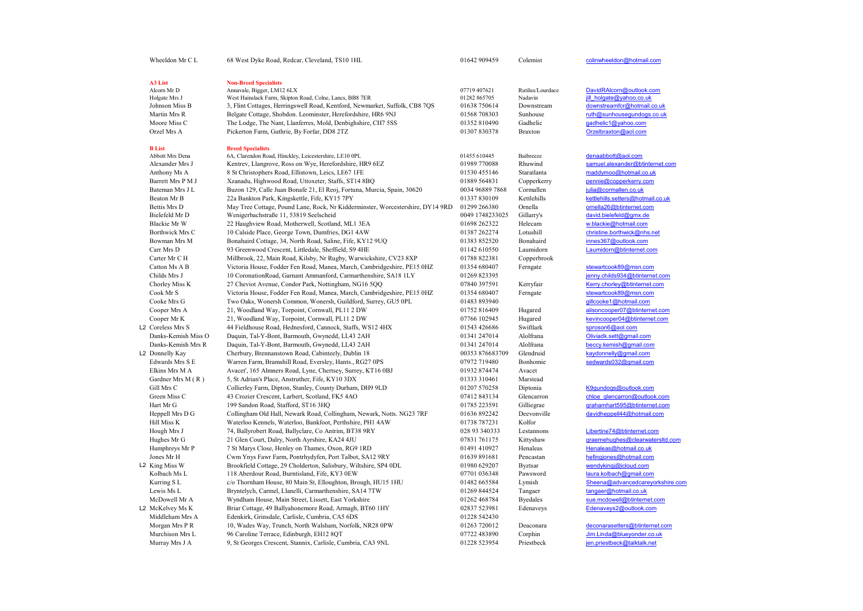| Wheeldon Mr C L                  | 68 West Dyke Road, Redcar, Cleveland, TS10 1HL                                         | 01642 909459                 | Colemist                    | colinwheeldon@hotmail.com                            |
|----------------------------------|----------------------------------------------------------------------------------------|------------------------------|-----------------------------|------------------------------------------------------|
|                                  |                                                                                        |                              |                             |                                                      |
| A3 List                          | <b>Non-Breed Specialists</b>                                                           |                              |                             |                                                      |
| Alcorn Mr D<br>Holgate Mrs J     | Annavale, Bigger, LM12 6LX<br>West Hainslack Farm, Skipton Road, Colne, Lancs, BB8 7ER | 07719 407621<br>01282 865705 | Rutilus/Lourdace<br>Nadavin | DavidRAlcorn@outlook.com<br>jill holgate@yahoo.co.uk |
| Johnson Miss B                   | 3, Flint Cottages, Herringswell Road, Kentford, Newmarket, Suffolk, CB8 7QS            | 01638 750614                 | Downstream                  | downstreamfcr@hotmail.co.uk                          |
| Martin Mrs R                     | Belgate Cottage, Shobdon. Leominster, Herefordshire, HR6 9NJ                           | 01568 708303                 | Sunhouse                    | ruth@sunhousegundogs.co.uk                           |
| Moore Miss C                     | The Lodge, The Nant, Llanferres, Mold, Denbighshire, CH7 5SS                           | 01352 810490                 | Gadhelic                    | gadhelic1@vahoo.com                                  |
| Orzel Mrs A                      | Pickerton Farm, Guthrie, By Forfar, DD8 2TZ                                            | 01307830378                  | <b>Braxton</b>              | Orzelbraxton@aol.com                                 |
|                                  |                                                                                        |                              |                             |                                                      |
| <b>B</b> List<br>Abbott Mrs Dena | <b>Breed Specialists</b><br>6A, Clarendon Road, Hinckley, Leicestershire, LE10 0PL     | 01455 610445                 | Baibreeze                   | denaabbott@aol.com                                   |
| Alexander Mrs J                  | Kentrev, Llangrove, Ross on Wye, Herefordshire, HR9 6EZ                                | 01989 770088                 | Rhuwind                     | samuel.alexander@btinternet.com                      |
| Anthony Ms A                     | 8 St Christophers Road, Ellistown, Leics, LE67 1FE                                     | 01530 455146                 | Staratlanta                 | maddymoo@hotmail.co.uk                               |
| Barrett Mrs P M J                | Xzanadu, Highwood Road, Uttoxeter, Staffs, ST14 8BQ                                    | 01889 564831                 | Copperkerry                 | pennie@copperkerry.com                               |
| Bateman Mrs J L                  | Buzon 129, Calle Juan Bonafe 21, El Reoj, Fortuna, Murcia, Spain, 30620                | 0034 96889 7868              | Cormallen                   | julia@cormallen.co.uk                                |
| Beaton Mr B                      | 22a Bankton Park, Kingskettle, Fife, KY15 7PY                                          | 01337 830109                 | Kettlehills                 | kettlehills.setters@hotmail.co.uk                    |
| Bettis Mrs D                     | May Tree Cottage, Pound Lane, Rock, Nr Kidderminster, Worcestershire, DY14 9RD         | 01299 266380                 | Ornella                     | ornella26@btinternet.com                             |
| Bielefeld Mr D                   | Wenigerbachstraße 11, 53819 Seelscheid                                                 | 0049 1748233025              | Gillarry's                  | david.bielefeld@gmx.de                               |
| Blackie Mr W                     | 22 Haughview Road, Motherwell, Scotland, ML1 3EA                                       | 01698 262322                 | Helecam                     | w.blackie@hotmail.com                                |
| Borthwick Mrs C                  | 10 Calside Place, George Town, Dumfries, DG1 4AW                                       | 01387 262274                 | Lotushill                   | christine.borthwick@nhs.net                          |
| Bowman Mrs M                     | Bonahaird Cottage, 34, North Road, Saline, Fife, KY12 9UQ                              | 01383 852520                 | Bonahaird                   | innes367@outlook.com                                 |
| Carr Mrs D                       | 93 Greenwood Crescent, Littledale, Sheffield, S9 4HE                                   | 01142 610550                 | Laumidorn                   | Laumidorn@btinternet.com                             |
| Carter Mr C H                    | Millbrook, 22, Main Road, Kilsby, Nr Rugby, Warwickshire, CV23 8XP                     | 01788 822381                 | Copperbrook                 |                                                      |
| Catton Ms A B                    | Victoria House, Fodder Fen Road, Manea, March, Cambridgeshire, PE15 0HZ                | 01354 680407                 | Ferngate                    | stewartcook89@msn.com                                |
| Childs Mrs J                     | 10 CoronationRoad, Garnant Ammanford, Carmarthenshire, SA18 1LY                        | 01269 823395                 |                             | jenny.childs934@btinternet.com                       |
| Chorley Miss K                   | 27 Cheviot Avenue, Condor Park, Nottingham, NG16 5QQ                                   | 07840 397591                 | Kerryfair                   | Kerry.chorley@btinternet.com                         |
| Cook Mr S                        | Victoria House, Fodder Fen Road, Manea, March, Cambridgeshire, PE15 0HZ                | 01354 680407                 | Ferngate                    | stewartcook89@msn.com                                |
| Cooke Mrs G                      | Two Oaks, Wonersh Common, Wonersh, Guildford, Surrey, GU5 0PL                          | 01483 893940                 |                             | gillcooke1@hotmail.com                               |
| Cooper Mrs A                     | 21, Woodland Way, Torpoint, Cornwall, PL11 2 DW                                        | 01752 816409                 | Hugared                     | alisoncooper07@btinternet.com                        |
| Cooper Mr K                      | 21, Woodland Way, Torpoint, Cornwall, PL11 2 DW                                        | 07766 102945                 | Hugared                     | kevincooper04@btinternet.com                         |
| L2 Coreless Mrs S                | 44 Fieldhouse Road, Hednesford, Cannock, Staffs, WS12 4HX                              | 01543 426686                 | Swiftlark                   | sproson6@aol.com                                     |
| Danks-Kemish Miss O              | Daquin, Tal-Y-Bont, Barmouth, Gwynedd, LL43 2AH                                        | 01341 247014                 | Alolfrana                   | Oliviadk.sett@gmail.com                              |
| Danks-Kemish Mrs R               | Daquin, Tal-Y-Bont, Barmouth, Gwynedd, LL43 2AH                                        | 01341 247014                 | Alolfrana                   | beccy.kemish@gmail.com                               |
| L2 Donnelly Kay                  | Cherbury, Brennanstown Road, Cabinteely, Dublin 18                                     | 00353 876683709              | Glendruid                   | kaydonnelly@gmail.com                                |
| Edwards Mrs S E                  | Warren Farm, Bramshill Road, Eversley, Hants., RG27 0PS                                | 07972 719480                 | Bonhomie                    | sedwards032@gmail.com                                |
| Elkins Mrs M A                   | Avacet', 165 Almners Road, Lyne, Chertsey, Surrey, KT16 0BJ                            | 01932 874474                 | Avacet                      |                                                      |
| Gardner Mrs M (R)                | 5, St Adrian's Place, Anstruther, Fife, KY10 3DX                                       | 01333 310461                 | Marstead                    |                                                      |
| Gill Mrs C                       | Collierley Farm, Dipton, Stanley, County Durham, DH9 9LD                               | 01207 570258                 | Diptonia                    | K9qundogs@outlook.com                                |
| Green Miss C                     | 43 Crozier Crescent, Larbert, Scotland, FK5 4AO                                        | 07412843134                  | Glencarron                  | chloe glencarron@outlook.com                         |
| Hart Mr G                        | 199 Sandon Road, Stafford, ST16 3HQ                                                    | 01785 223591                 | Gilliegrae                  | grahamhart595@btinternet.com                         |
| Heppell Mrs D G                  | Collingham Old Hall, Newark Road, Collingham, Newark, Notts. NG23 7RF                  | 01636 892242                 | Deevonville                 | davidheppell44@hotmail.com                           |
| <b>Hill Miss K</b>               | Waterloo Kennels, Waterloo, Bankfoot, Perthshire, PH1 4AW                              | 01738 787231                 | Kolfor                      |                                                      |
| Hough Mrs J                      | 74, Ballyrobert Road, Ballyclare, Co Antrim, BT38 9RY                                  | 028 93 340333                | Lestannons                  | Libertine74@btinternet.com                           |
| Hughes Mr G                      | 21 Glen Court, Dalry, North Ayrshire, KA24 4JU                                         | 07831761175                  | Kittyshaw                   | graemehughes@clearwatersitd.com                      |
| Humphreys Mr P                   | 7 St Marys Close, Henley on Thames, Oxon, RG9 1RD                                      | 01491 410927                 | Henaleas                    | Henaleas@hotmail.co.uk                               |
| Jones Mr H                       | Cwm Ynys Fawr Farm, Pontrhydyfen, Port Talbot, SA12 9RY                                | 01639 891681                 | Pencastan                   | hefingjones@hotmail.com                              |
| L2 King Miss W                   | Brookfield Cottage, 29 Cholderton, Salisbury, Wiltshire, SP4 0DL                       | 01980 629207                 | <b>Byztsar</b>              | wendykingj@icloud.com                                |
| Kolbach Ms L                     | 118 Aberdour Road, Burntisland, Fife, KY3 0EW                                          | 07701 036348                 | Pawsword                    | laura.kolbach@gmail.com                              |
| Kurring SL                       | c/o Thornham House, 80 Main St, Elloughton, Brough, HU15 1HU                           | 01482 665584                 | Lymish                      | Sheena@advancedcareyorkshire.com                     |
| Lewis Ms L                       | Bryntelych, Carmel, Llanelli, Carmarthenshire, SA14 7TW                                | 01269 844524                 | Tangaer                     | tangaer@hotmail.co.uk                                |
| McDowell Mr A                    | Wyndham House, Main Street, Lissett, East Yorkshire                                    | 01262 468784                 | <b>Byedales</b>             | sue.mcdowell@btinternet.com                          |
| L2 McKelvey Ms K                 | Briar Cottage, 49 Ballyahonemore Road, Armagh, BT60 1HY                                | 02837 523981                 | Edenaveys                   | Edenaveys2@outlook.com                               |
| Middleham Mrs A                  | Edenkirk, Grinsdale, Carlisle, Cumbria, CA5 6DS                                        | 01228 542430                 |                             |                                                      |
| Morgan Mrs P R                   | 10, Wades Way, Trunch, North Walsham, Norfolk, NR28 0PW                                | 01263 720012                 | Deaconara                   | deconarasetters@btinternet.com                       |
| Murchison Mrs L                  | 96 Caroline Terrace, Edinburgh, EH12 8QT                                               | 07722 483890                 | Corphin                     | Jim.Linda@blueyonder.co.uk                           |
| Murray Mrs J A                   | 9, St Georges Crescent, Stannix, Carlisle, Cumbria, CA3 9NL                            | 01228 523954                 | Priestbeck                  | jen.priestbeck@talktalk.net                          |
|                                  |                                                                                        |                              |                             |                                                      |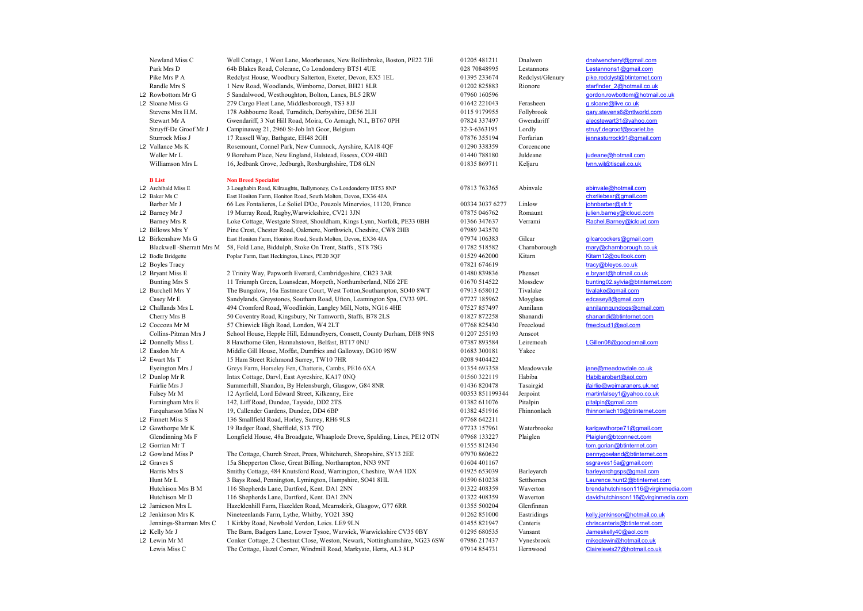**B List** Non Breed Specialist<br>
L2 Archibald Miss E 3 Loughabin Road, Ki

Newland Miss C Well Cottage, 1 West Lane, Moorhouses, New Bollinbroke, Boston, PE22 7JE 01205 481211 Dnalwen dna the mail.com<br>Park Mrs D 64h Blakes Road Colerane Co Londonderry RT51 4UE 028 70848995 Lestannons Lestannons d Park Mrs D 64b Blakes Road, Colerane, Co Londonderry BT51 4UE 028 70848995 Lestannons Lestannons Lestannons1@gmail.com<br>Pike Mrs P A Redclyst House. Woodbury Salterton. Exeter. Devon. EX5 1EL 01395 233674 Redclyst/Glenury p Pike Mrs P A Redclyst House, Woodbury Salterton, Exeter, Devon, EX5 1EL 01395 233674 Redclyst/Glenury pike.redclyst@btinternet.com<br>Randle Mrs S 1 New Road. Woodlands. Wimborne. Dorset. BH21 8LR 01202 825883 Rionore starfin Randle Mrs S 1 New Road, Woodlands, Wimborne, Dorset, BH21 8LR 01202 825883 Rionore starfinder 2@hotmail.co.uk<br>
L2 Rowbottom Mr G 5 Sandalwood, Westhoughton, Bolton, Lancs, BL5 2RW 07960 160596 rowbottom Mr G 5 Sandalwood, L2 Rowbottom Mr G 5 Sandalwood, Westhoughton, Bolton, Lancs, BL5 2RW 07960 160596 gordon.rowbottom@<br>
L2 Sloane Miss G 279 Cargo Fleet Lane. Middlesborough. TS3 8JJ 01642 221043 Ferasheen asloane@live.co.uk Sloane Miss G 279 Cargo Fleet Lane, Middlesborough, TS3 8JJ 01642 221043 Ferasheen g<u>.sloane@live.co.uk</u><br>Stevens Mrs H.M. 178 Ashbourne Road. Turnditch. Derbyshire. DE56 2LH 0115 9179955 Follybrook garv.stevens6@ntlworld.c Stevens Mrs H.M. 178 Ashbourne Road, Turnditch, Derbyshire, DE56 2LH 0115 9179955 Follybrook gary.stevens6@ntlworld.com<br>Stewart Mr A Gwendariff. 3 Nut Hill Road. Moira. Co Armagh. N.L. BT67 0PH 07824 337497 Gwendariff alec Stematiff, 3 Nut Hill Road, Moira, Co Armagh, N.I., BT67 0PH 07824 337497 Gwendariff and alecstewart31@yahoo.com<br>Campinaweg 21, 2960 St-Job In't Goor, Belgium 2008 2009 32-3-6363195 Lordly struyf.degroof@scarlet.be Struyff-De Groof Mr J Campinaweg 21, 2960 St-Job In't Goor, Belgium 32-3-6363195 Lordly Struyf.degroof@scarlet.be<br>Sturrock Miss J 17 Russell Way. Batheate. EH48 2GH Sturrock Miss J 17 Russell Way, Bathgate, EH48 2GH 07876 355194 Forfarian 31 Passell Way, Bathgate, EH48 2GH 07876 355194 Forfarian  $\frac{1290 \times 181.81}{290 \times 10^{129} \times 10^{129}}$  Corcencone Vallance Ms K Rosemount, Connel Park, New Cumnock, Ayrshire, KA18 4QF 01290 338359 Corcencone<br>
Weller Mr L 9 Boreham Place, New England, Halstead, Essesx, CO9 4BD 01440 788180 Juldeane Weller Mr L 9 Boreham Place, New England, Halstead, Essesx, CO9 4BD 01440 788180 Juldeane *judeane@hotmail.com*<br>4 Villiamson Mrs L 16, Jedbank Grove, Jedburgh, Roxburghshire, TD8 6LN 01835 869711 Keljaru *hynn.wil@tiscali.* 16, Jedbank Grove, Jedburgh, Roxburghshire, TD8 6LN 01835 869711 Keljaru

L2 Archibald Miss E 3 Loughabin Road, Kilraughts, Ballymoney, Co Londonderry BT53 8NP 07813 763365 Abinvale abinvale abinvale@hotmail.com<br>
L2 Baker Ms C chxrliebexr@gmail.com abinvale abinvale abinvale abinvale abinvale ab East Honiton Farm, Honiton Road, South Molton, Devon, EX36 4JA chxrliebexr@gmail<br>
66 Les Fontalieres, Le Soliel D'Oc, Pouzols Minervios, 11120, France 00334 3037 6277 Linlow iohnbarber@sfr.fr Barber Mr J 66 Les Fontalieres, Le Soliel D'Oc, Pouzols Minervios, 11120, France 00334 3037 6277 Linlow L2 Barney Mr J 19 Murray Road, Rugby, Warwickshire, CV21 3JN 07875 046762 Romau Barney Mr J 19 Murray Road, Rugby, Warwickshire, CV21 3JN 07875 046762 Romaunt <u>julien.barney@icloud.com</u><br>Barney Mrs R Loke Cottage. Westgate Street. Shouldham. Kings Lynn. Norfolk. PE33 0BH 01366 347637 Verrami Rachel Bar Loke Cottage, Westgate Street, Shouldham, Kings Lynn, Norfolk, PE33 0BH 01366 347637 Verrami L2 Billows Mrs Y Pine Crest, Chester Road, Oakmere, Northwich, Cheshire, CW8 2HB 07989 343570<br>
L2 Birkenshaw Ms G Fast Honiton Farm. Honiton Road, South Molton, Devon, EX36 4JA 07974 106383 Birkenshaw Ms G East Honiton Farm, Honiton Road, South Molton, Devon, EX36 4JA 07974 106383 Gilcar gilcarcockers@gmail.com<br>Blackwell -Sherratt Mrs M 58, Fold Lane, Biddulph, Stoke On Trent, Staffs., ST8 7SG 01782 518582 Ch 88, Fold Lane, Biddulph, Stoke On Trent, Staffs., ST8 7SG 01782 518582 Charnborough mary@charnborough.co.uk<br>Poplar Farm. East Heckington. Lines. PE20 3OF 01529 462000 Kitarn Mars (Starn12@outlook.com L2 Bodle Bridgette Poplar Farm, East Heckington, Lincs, PE20 3QF 01529 462000 Kitarn L2 Boyles Tracy tracy the tracy of the tracy of the tracy of the tracy of the tracy of the tracy of the tracy of the tracy of the tracy of the tracy of the tracy of the tracy of the tracy of the tracy of the tracy of the t L2 Bryant Miss E 2 Trinity Way, Papworth Everard, Cambridgeshire, CB23 3AR 01480 839836 Phenset e.bryant@hotmail.co.uk<br>Bunting Mrs S 11 Triumph Green. Loansdean. Morpeth. Northumberland. NE6 2FE 01670 514522 Mossdew buntin Bunting Mrs S 11 Triumph Green, Loansdean, Morpeth, Northumberland, NE6 2FE 01670 514522 Mossdew bunting02.sylvia@btinternet.com 31 Triumph Green, Loansdean, Morpeth, Northumberland, NE6 2FE 01670 514522 Mossdew bunting02. The Bungalow, 16a Eastmeare Court, West Totton,Southampton, SO40 8WT 07913 658012 Tivalake Tivalake tivalake tival tidenticom<br>
Sandylands. Grevstones. Southam Road. Ufton. Leamington Spa. CV33 9PL 07727 185962 Movelass edc Casey Mr E Sandylands, Greystones, Southam Road, Ufton, Leamington Spa, CV33 9PL 07727 185962 Moyglass edcasey8@gmail.com<br>
L2 Challands Mrs L 494 Cromford Road. Woodlinkin. Langley Mill. Notts. NG16 4HE 07527 857497 Annila Challands Mrs L 494 Cromford Road, Woodlinkin, Langley Mill, Notts, NG16 4HE 07527 857497 Annilann annilanngundogs@gmail.com<br>Cherry Mrs B 50 Coventry Road. Kingsbury. Nr Tamworth. Staffs. B78 2LS 01827 872258 Shanandi shan Cherry Mrs B 50 Coventry Road, Kingsbury, Nr Tamworth, Staffs, B78 2LS 01827 872258 Shanandi shanandi@btinternet.<br>
L2 Coccoza Mr M 57 Chiswick High Road, London, W4 2LT 07768 825430 Freecloud freecloud1@aol.com 57 Chiswick High Road, London, W4 2LT 07768 825430 Freecloud Collins-Pitman Mrs J School House, Hepple Hill, Edmundbyers, Consett, County Durham, DH8 9NS 01207 255193 Amscot<br>L2 Donnelly Miss J. 8 Hawthorne Glen. Hannabstown. Belfast. BT17 0NU 07387 893584 Leireme L2 Donnelly Miss L 8 Hawthorne Glen, Hannahstown, Belfast, BT17 0NU 07387 893584 Leiremoah LGillen08@googlemail.com<br>
L2 Easdon Mr A Middle Gill House. Moffat. Dumfries and Galloway. DG10 9SW 01683 300181 Yakee L2 Easdon Mr A Middle Gill House, Moffat, Dumfries and Galloway, DG10 9SW<br>12 Ewart Ms T 15 Ham Street Richmond Surrey. TW10 7HR Ewart Ms T 15 Ham Street Richmond Surrey, TW10 7HR 12008 9404422<br>
Eyeington Mrs J Greys Farm, Horseley Fen, Chatteris, Cambs, PE16 6XA 01354 693358 Greys Farm, Horseley Fen, Chatteris, Cambs, PE16 6XA 01354 693358 Meadowvale jane@meadowdale.co.uk L2 Dunlop Mr R Intax Cottage, Darvl, East Ayreshire, KA17 0NQ 01560 322119 Habiba Habibarobert@aol.com<br>Fairlie Mrs J Summerhill. Shandon. By Helensburgh. Glasgow. G84 8NR 01436 820478 Tasairgid fairlie@weimaraners.uk.ne Fairlie Monton, By Helensburgh, Glasgow, G84 8NR 01436 820478 Tasairgid fairlie@weimaraners.uk.net 12 Ayrfield, Lord Edward Street, Kilkenny, Eire 00353 851199344 Jerpoint martinfalsey1@yahoo.co.uk Falsey Mr M 12 Ayrfield, Lord Edward Street, Kilkenny, Eire 00353 851199344 Jerpoint martinfalsey1@yahoo.co.uk<br>Farningham Mrs E 142. Liff Road. Dundee. Tavside. DD2 2TS 01382 611076 Pitalpin pitalpin@gmail.com Farningham Mrs E 142, Liff Road, Dundee, Tayside, DD2 2TS 01382 611076 Pitalpin pitalpin pitalpin pitalpin pitalpin pitalpin pitalpin pitalpin pitalpin pitalpin pitalpin pitalpin pitalpin pitalpin pitalpin pitalpin pitalpi Farque Miss N 19, Callender Gardens, Dundee, DD4 6BP 01382 451916 Fhinan Fhinnish Fhinnish Fhinnish Fhinnish Fhinnish Fhinnish Fhinnish Fhinnish Fhinnish Fhinnish Fhinnish Fhinnish Fhinnish Fhinnish Fhinnish Fhinnish Fhinn L2 Finnett Miss S 136 Smallfield Road, Horley, Surrey, RH6 9LS 07768 642211 Gawthorpe Mr K 19 Badger Road, Sheffield, S13 7TQ 0773 167961 Waterbrooke karlgawthorpe71@gmail.com<br>Glendinning Ms F Longfield House, 48a Broadgate, Whaaplode Drove, Spalding, Lincs, PE12 0TN 07968 133227 Plaiglen Plaiglen Glendinning Ms F Longfield House, 48a Broadgate, Whaaplode Drove, Spalding, Lincs, PE12 0TN 07968 133227 Plaiglen<br>L2 Gorrian Mr T 01555 812430 L2 Gowland Miss P The Cottage, Church Street, Prees, Whitchurch, Shropshire, SY13 2EE 07970 860622 pennygowland@btinternet.com<br>
L2 Graves S 15a Shepperton Close, Great Billing, Northampton, NN3 9NT 01604 401167 sscraves 15 L2 Graves S 15a Shepperton Close, Great Billing, Northampton, NN3 9NT 01604 401167 ssgraves15a@gmail.com<br>Harris Mrs S Smithy Cottage. 484 Knutsford Road. Warrington. Cheshire. WA4 1DX 01925 653039 Barlevarch barlevarchosos Harris Mrs S Smithy Cottage, 484 Knutsford Road, Warrington, Cheshire, WA4 1DX 01925 653039 Barleyarch barleyarch barleyarchgsps@gmail.com<br>
Hunt Mr I. 3 Bays Road. Pennington. Lymington. Hampshire. SO41 8HL 01590 610238 Se 19 Bays Road, Pennington, Lymington, Hampshire, SO41 8HL 01590 610238 Setthornes Laurence.hunt2@btinternet.com<br>116 Shenherds Lane Dartford Kent DA1 2NN 01372 408359 Waverton hendabutchinson116@virginmedia.com Hutchison Mrs B M 116 Shepherds Lane, Dartford, Kent. DA1 2NN 01322 408359 Waverton brendahutchinson 116@virginmedia.com<br>Hutchison Mr D 116 Shepherds Lane. Dartford. Kent. DA1 2NN 01322 408359 Waverton davidhutchinson 116@ 116 Shepherds Lane, Dartford, Kent. DA1 2NN 01322 408359 Waverton david the United Shepherds Lane, Dartford, Kent. DA1 2NN L2 Jamieson Mrs L Hazeldenhill Farm, Hazelden Road, Mearnskirk, Glasgow, G77 6RR 01355 500204 Glenfinnan Nineteenlands Farm, Lythe, Whitby, YO21 3SQ 01262 851000 Eastridings kelly.jenkinson@hotmail.co.uk<br>
1 Kirkby Road, Newbold Verdon, Leics. LE9 9LN 01455 821947 Canteris chriscanteris@btinternet.com Jennings-Sharman Mrs C 1 Kirkby Road, Newbold Verdon, Leics. LE9 9LN 01455 821947 Canteris chriscanteris@btinternet.<br>L2 Kelly Mr J Canteris The Barn Badgers Lane Lower Tysoe Warwick Warwickshire CV35 0BY 01295 680535 Vansa

The Barn, Badgers Lane, Lower Tysoe, Warwick, Warwickshire CV35 0BY 01295 680535 Vansant Jameskelly40@aol.com<br>Conker Cottage 2 Chestnut Close Weston Newark Nottinghamshire NG23 6SW 07986 217437 Vyneshrook mikeqlewin@hotmai L2 Lewin Mr M Conker Cottage, 2 Chestnut Close, Weston, Newark, Nottinghamshire, NG23 6SW 07986 217437 Vynesbrook mikeglewin@hotmail.co.uk<br>Lewis Miss C The Cottage. Hazel Corner. Windmill Road. Markvate. Herts. AL3 8LP 079 Lewis Miss C The Cottage, Hazel Corner, Windmill Road, Markyate, Herts, AL3 8LP 07914 854731 Hernwood

01555 812430 tom.gorian@btinternet.com<br>07970 860622 pennygowland@btinternet.com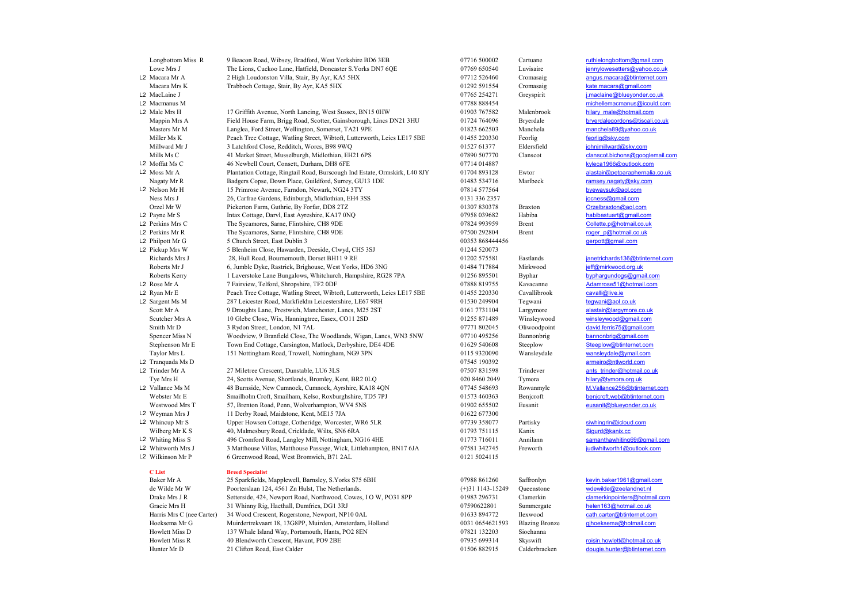| Longbottom Miss R                 | 9 Beacon Road, Wibsey, Bradford, West Yorkshire BD6 3EB                    | 07716 500002                | Cartuane                 | ruthielongbottom@gmail.com      |
|-----------------------------------|----------------------------------------------------------------------------|-----------------------------|--------------------------|---------------------------------|
| Lowe Mrs J                        | The Lions, Cuckoo Lane, Hatfield, Doncaster S.Yorks DN7 6QE                | 07769 650540                | Luvisaire                | jennylowesetters@yahoo.co.uk    |
| L2 Macara Mr A                    | 2 High Loudonston Villa, Stair, By Ayr, KA5 5HX                            | 07712 526460                | Cromasaig                | angus.macara@btinternet.com     |
| Macara Mrs K                      | Trabboch Cottage, Stair, By Ayr, KA5 5HX                                   | 01292 591554                | Cromasaig                | kate.macara@gmail.com           |
| L2 MacLaine J                     |                                                                            | 07765 254271                | Greyspirit               | j.maclaine@blueyonder.co.uk     |
| L2 Macmanus M                     |                                                                            | 07788 888454                |                          | michellemacmanus@icould.com     |
| L2 Male Mrs H                     | 17 Griffith Avenue, North Lancing, West Sussex, BN15 0HW                   | 01903 767582                | Malenbrook               | hilary male@hotmail.com         |
| Mappin Mrs A                      | Field House Farm, Brigg Road, Scotter, Gainsborough, Lincs DN21 3HU        | 01724 764096                | Bryerdale                | bryerdalegordons@tiscali.co.uk  |
| Masters Mr M                      | Langlea, Ford Street, Wellington, Somerset, TA21 9PE                       | 01823 662503                | Manchela                 | manchela89@yahoo.co.uk          |
| Miller Ms K                       | Peach Tree Cottage, Watling Street, Wibtoft, Lutterworth, Leics LE17 5BE   | 01455 220330                | Feorlig                  | feorlig@sky.com                 |
| Millward Mr J                     | 3 Latchford Close, Redditch, Worcs, B98 9WQ                                | 01527 61377                 | Eldersfield              | johnjmillward@sky.com           |
| Mills Ms C                        | 41 Market Street, Musselburgh, Midlothian, EH21 6PS                        | 07890 507770                | Clanscot                 | clanscot.bichons@googlemail.com |
| L2 Moffat Ms C                    | 46 Newbell Court, Consett, Durham, DH8 6FE                                 | 07714 014887                |                          | kyleca1966@outlook.com          |
| L2 Moss Mr A                      | Plantation Cottage, Ringtail Road, Burscough Ind Estate, Ormskirk, L40 8JY | 01704 893128                | Ewtor                    | alastair@petparaphernalia.co.uk |
| Nagaty Mr R                       | Badgers Copse, Down Place, Guildford, Surrey, GU13 1DE                     | 01483 534716                | Marlbeck                 | ramsey.nagaty@sky.com           |
| L2 Nelson Mr H                    | 15 Primrose Avenue, Farndon, Newark, NG24 3TY                              | 07814 577564                |                          | byewaysuk@aol.com               |
| Ness Mrs J                        | 26, Carfrae Gardens, Edinburgh, Midlothian, EH4 3SS                        | 0131 336 2357               |                          | jocness@gmail.com               |
| Orzel Mr W                        |                                                                            |                             |                          | Orzelbraxton@aol.com            |
|                                   | Pickerton Farm, Guthrie, By Forfar, DD8 2TZ                                | 01307830378<br>07958 039682 | <b>Braxton</b><br>Habiba | habibastuart@gmail.com          |
| L2 Payne Mr S<br>L2 Perkins Mrs C | Intax Cottage, Darvl, East Ayreshire, KA17 0NQ                             |                             | Brent                    | Collette.p@hotmail.co.uk        |
|                                   | The Sycamores, Sarne, Flintshire, CH8 9DE                                  | 07824 993959                |                          |                                 |
| L2 Perkins Mr R                   | The Sycamores, Sarne, Flintshire, CH8 9DE                                  | 07500 292804                | Brent                    | roger p@hotmail.co.uk           |
| L2 Philpott Mr G                  | 5 Church Street, East Dublin 3                                             | 00353 868444456             |                          | gerpott@gmail.com               |
| L2 Pickup Mrs W                   | 5 Blenheim Close, Hawarden, Deeside, Clwyd, CH5 3SJ                        | 01244 520073                |                          |                                 |
| Richards Mrs J                    | 28, Hull Road, Bournemouth, Dorset BH11 9 RE                               | 01202 575581                | Eastlands                | janetrichards136@btinternet.com |
| Roberts Mr J                      | 6, Jumble Dyke, Rastrick, Brighouse, West Yorks, HD6 3NG                   | 01484 717884                | Mirkwood                 | jeff@mirkwood.org.uk            |
| Roberts Kerry                     | 1 Laverstoke Lane Bungalows, Whitchurch, Hampshire, RG28 7PA               | 01256 895501                | Byphar                   | byphargundogs@gmail.com         |
| L2 Rose Mr A                      | 7 Fairview, Telford, Shropshire, TF2 0DF                                   | 07888 819755                | Kavacanne                | Adamrose51@hotmail.com          |
| L2 Ryan Mr E                      | Peach Tree Cottage, Watling Street, Wibtoft, Lutterworth, Leics LE17 5BE   | 01455 220330                | Cavallibrook             | cavalli@live.ie                 |
| L2 Sargent Ms M                   | 287 Leicester Road, Markfieldm Leicestershire, LE67 9RH                    | 01530 249904                | Tegwani                  | teqwani@aol.co.uk               |
| Scott Mr A                        | 9 Droughts Lane, Prestwich, Manchester, Lancs, M25 2ST                     | 0161 7731104                | Largymore                | alastair@largymore.co.uk        |
| Scutcher Mrs A                    | 10 Glebe Close, Wix, Hanningtree, Essex, CO11 2SD                          | 01255 871489                | Winsleywood              | winsleywood@gmail.com           |
| Smith Mr D                        | 3 Rydon Street, London, N1 7AL                                             | 07771 802045                | Oliwoodpoint             | david.ferris75@gmail.com        |
| Spencer Miss N                    | Woodview, 9 Branfield Close, The Woodlands, Wigan, Lancs, WN3 5NW          | 07710 495256                | Bannonbrig               | bannonbrig@gmail.com            |
| Stephenson Mr E                   | Town End Cottage, Carsington, Matlock, Derbyshire, DE4 4DE                 | 01629 540608                | Steeplow                 | Steeplow@btinternet.com         |
| Taylor Mrs L                      | 151 Nottingham Road, Trowell, Nottingham, NG9 3PN                          | 0115 9320090                | Wansleydale              | wansleydale@ymail.com           |
| L2 Tranquada Ms D                 |                                                                            | 07545 190392                |                          | armeiro@ntlworld.com            |
| L2 Trinder Mr A                   | 27 Miletree Crescent, Dunstable, LU6 3LS                                   | 07507 831598                | Trindever                | ants trinder@hotmail.co.uk      |
| Tye Mrs H                         | 24, Scotts Avenue, Shortlands, Bromley, Kent, BR2 0LQ                      | 020 8460 2049               | Tymora                   | hilary@tymora.org.uk            |
| L2 Vallance Ms M                  | 48 Burnside, New Cumnock, Cumnock, Ayrshire, KA18 4QN                      | 07745 548693                | Rowanmyle                | M.Vallance256@btinternet.com    |
| Webster Mr E                      | Smailholm Croft, Smailham, Kelso, Roxburghshire, TD5 7PJ                   | 01573 460363                | Benjcroft                | benjcroft.web@btinternet.com    |
| Westwood Mrs T                    | 57, Brenton Road, Penn, Wolverhampton, WV4 5NS                             | 01902 655502                | Eusanit                  | eusanit@bluevonder.co.uk        |
| L2 Weyman Mrs J                   | 11 Derby Road, Maidstone, Kent, ME15 7JA                                   | 01622 677300                |                          |                                 |
| L2 Whincup Mr S                   | Upper Howsen Cottage, Cotheridge, Worcester, WR6 5LR                       | 07739 358077                | Partisky                 | siwhingrin@icloud.com           |
| Wilberg Mr K S                    | 40, Malmesbury Road, Cricklade, Wilts, SN6 6RA                             | 01793 751115                | Kanix                    | Sigurd@kanix.cc                 |
| L2 Whiting Miss S                 | 496 Cromford Road, Langley Mill, Nottingham, NG16 4HE                      | 01773 716011                | Annilann                 | samanthawhiting69@gmail.com     |
| L2 Whitworth Mrs J                | 3 Matthouse Villas, Matthouse Passage, Wick, Littlehampton, BN17 6JA       | 07581 342745                | Freworth                 | judiwhitworth1@outlook.com      |
| L2 Wilkinson Mr P                 | 6 Greenwood Road, West Bromwich, B71 2AL                                   | 0121 5024115                |                          |                                 |
|                                   |                                                                            |                             |                          |                                 |
| C List                            | <b>Breed Specialist</b>                                                    |                             |                          |                                 |
| Baker Mr A                        | 25 Sparkfields, Mapplewell, Barnsley, S.Yorks S75 6BH                      | 07988 861260                | Saffronlyn               | kevin.baker1961@gmail.com       |
| de Wilde Mr W                     | Poorterslaan 124, 4561 Zn Hulst, The Netherlands.                          | $(+)$ 31 1143-15249         | Queenstone               | wdewilde@zeelandnet.nl          |
|                                   |                                                                            |                             |                          |                                 |

Drake Mrs J R Setterside, 424, Newport Road, Northwood, Cowes, I O W, PO31 8PP 01983 296731 Clamerkin clamerkinpointers@hotmail.com Gracie Mrs H 31 Whinny Rig, Haethall, Dumfries, DG1 3RJ 07590622801 Summergate helen163@hotmail.co.uk<br>
Harris Mrs C (nee Carter) 34 Wood Crescent, Rogerstone, Newport, NP10 0AL 01633 894772 llexwood cath.carter@btinternet. 14 Wood Crescent, Rogerstone, Newport, NP10 0AL 01633 894772 llexwood cath.carter@btinternet.com<br>Muirdertrekvaart 18, 13G8PP, Muirden, Amsterdam, Holland 0031 0654621593 Blazing Bronze qjhoeksema@hotmail.com Hoeksema Mr G Muirdertrekvaart 18, 13G8PP, Muirden, Amsterdam, Holland 0031 0654621593 Blazing Bronze<br>Howlett Miss D 137 Whale Island Way Portsmouth Hants PO2 8EN 07821 132003 Siochanna Howlett Miss D 137 Whale Island Way, Portsmouth, Hants, PO2 8EN<br>Howlett Miss R 40 Blendworth Crescent Havant PO9 2BE Howlett Miss R 40 Blendworth Crescent, Havant, PO9 2BE 07935 699314 Skyswift roisin.howlett@hotmail.co.uk Hunter Mr D 21 Clifton Road, East Calder 01506 882915 Calderbracken dougie.hunter@btinternet.com

# k a te.macara@gmail.com michellemacmanus@icould.com Mappin Mappin Mappin Mappin Mappin Mappin Mappin Mappin Mappin Mappin Mappin Mappin Mappin Mappin Mappin Mappin Mappin Mappin Mappin Mappin Mappin Mappin Mappin Mappin Mappin Mappin Mappin Mappin Mappin Mappin Mappin Mappi 01704 893128 Ewtor Burscough Indianaphernalia.co.uk Exert Mar R The System Mr R The System System Cheffer and The System System System System System System System System System System System System System System System System System System System System System System System Richards Mrs Janetrichards 136@btinternet.com<br>
Richards Mirkwood ieff@mirkwood.org.uk<br>
ieff@mirkwood.org.uk winsleywood@gmail.com

## $\frac{\text{Covin}, \text{baker} \cdot 1961 \text{ \textdegree} \cdot \text{Covin}}{11143 \cdot 15249}$  Saffronlyn  $\frac{\text{Covin}, \text{baker} \cdot 1961 \text{ \textdegree} \cdot \text{Covin}}{11143 \cdot 15249}$